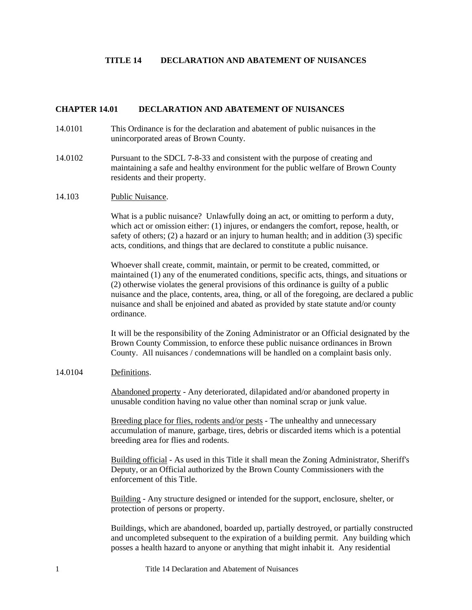### **TITLE 14 DECLARATION AND ABATEMENT OF NUISANCES**

#### **CHAPTER 14.01 DECLARATION AND ABATEMENT OF NUISANCES**

- 14.0101 This Ordinance is for the declaration and abatement of public nuisances in the unincorporated areas of Brown County.
- 14.0102 Pursuant to the SDCL 7-8-33 and consistent with the purpose of creating and maintaining a safe and healthy environment for the public welfare of Brown County residents and their property.
- 14.103 Public Nuisance.

What is a public nuisance? Unlawfully doing an act, or omitting to perform a duty, which act or omission either: (1) injures, or endangers the comfort, repose, health, or safety of others; (2) a hazard or an injury to human health; and in addition (3) specific acts, conditions, and things that are declared to constitute a public nuisance.

Whoever shall create, commit, maintain, or permit to be created, committed, or maintained (1) any of the enumerated conditions, specific acts, things, and situations or (2) otherwise violates the general provisions of this ordinance is guilty of a public nuisance and the place, contents, area, thing, or all of the foregoing, are declared a public nuisance and shall be enjoined and abated as provided by state statute and/or county ordinance.

It will be the responsibility of the Zoning Administrator or an Official designated by the Brown County Commission, to enforce these public nuisance ordinances in Brown County. All nuisances / condemnations will be handled on a complaint basis only.

#### 14.0104 Definitions.

Abandoned property - Any deteriorated, dilapidated and/or abandoned property in unusable condition having no value other than nominal scrap or junk value.

Breeding place for flies, rodents and/or pests - The unhealthy and unnecessary accumulation of manure, garbage, tires, debris or discarded items which is a potential breeding area for flies and rodents.

Building official - As used in this Title it shall mean the Zoning Administrator, Sheriff's Deputy, or an Official authorized by the Brown County Commissioners with the enforcement of this Title.

Building - Any structure designed or intended for the support, enclosure, shelter, or protection of persons or property.

Buildings, which are abandoned, boarded up, partially destroyed, or partially constructed and uncompleted subsequent to the expiration of a building permit. Any building which posses a health hazard to anyone or anything that might inhabit it. Any residential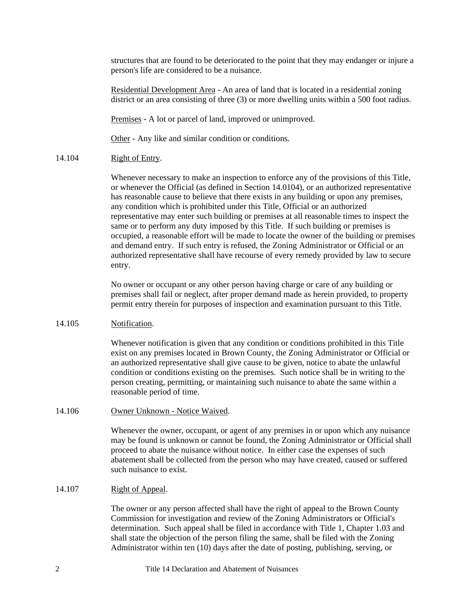structures that are found to be deteriorated to the point that they may endanger or injure a person's life are considered to be a nuisance.

Residential Development Area - An area of land that is located in a residential zoning district or an area consisting of three (3) or more dwelling units within a 500 foot radius.

Premises - A lot or parcel of land, improved or unimproved.

Other - Any like and similar condition or conditions.

## 14.104 Right of Entry.

Whenever necessary to make an inspection to enforce any of the provisions of this Title, or whenever the Official (as defined in Section 14.0104), or an authorized representative has reasonable cause to believe that there exists in any building or upon any premises, any condition which is prohibited under this Title, Official or an authorized representative may enter such building or premises at all reasonable times to inspect the same or to perform any duty imposed by this Title. If such building or premises is occupied, a reasonable effort will be made to locate the owner of the building or premises and demand entry. If such entry is refused, the Zoning Administrator or Official or an authorized representative shall have recourse of every remedy provided by law to secure entry.

No owner or occupant or any other person having charge or care of any building or premises shall fail or neglect, after proper demand made as herein provided, to property permit entry therein for purposes of inspection and examination pursuant to this Title.

### 14.105 Notification.

Whenever notification is given that any condition or conditions prohibited in this Title exist on any premises located in Brown County, the Zoning Administrator or Official or an authorized representative shall give cause to be given, notice to abate the unlawful condition or conditions existing on the premises. Such notice shall be in writing to the person creating, permitting, or maintaining such nuisance to abate the same within a reasonable period of time.

### 14.106 Owner Unknown - Notice Waived.

Whenever the owner, occupant, or agent of any premises in or upon which any nuisance may be found is unknown or cannot be found, the Zoning Administrator or Official shall proceed to abate the nuisance without notice. In either case the expenses of such abatement shall be collected from the person who may have created, caused or suffered such nuisance to exist.

# 14.107 Right of Appeal.

The owner or any person affected shall have the right of appeal to the Brown County Commission for investigation and review of the Zoning Administrators or Official's determination. Such appeal shall be filed in accordance with Title 1, Chapter 1.03 and shall state the objection of the person filing the same, shall be filed with the Zoning Administrator within ten (10) days after the date of posting, publishing, serving, or